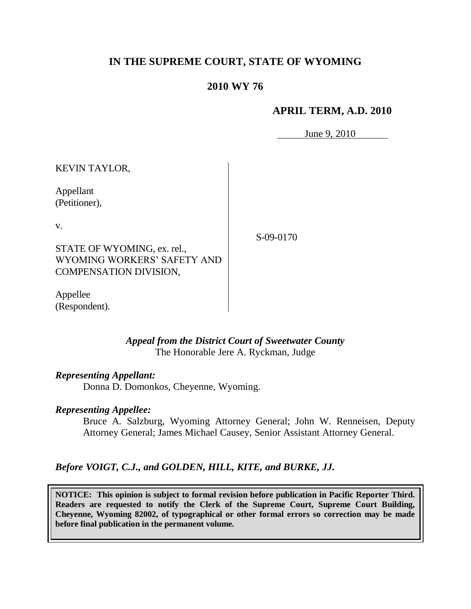# **IN THE SUPREME COURT, STATE OF WYOMING**

# **2010 WY 76**

# **APRIL TERM, A.D. 2010**

June 9, 2010

KEVIN TAYLOR,

Appellant (Petitioner),

v.

S-09-0170

STATE OF WYOMING, ex. rel., WYOMING WORKERS' SAFETY AND COMPENSATION DIVISION,

Appellee (Respondent).

# *Appeal from the District Court of Sweetwater County* The Honorable Jere A. Ryckman, Judge

# *Representing Appellant:*

Donna D. Domonkos, Cheyenne, Wyoming.

# *Representing Appellee:*

Bruce A. Salzburg, Wyoming Attorney General; John W. Renneisen, Deputy Attorney General; James Michael Causey, Senior Assistant Attorney General.

*Before VOIGT, C.J., and GOLDEN, HILL, KITE, and BURKE, JJ.*

**NOTICE: This opinion is subject to formal revision before publication in Pacific Reporter Third. Readers are requested to notify the Clerk of the Supreme Court, Supreme Court Building, Cheyenne, Wyoming 82002, of typographical or other formal errors so correction may be made before final publication in the permanent volume.**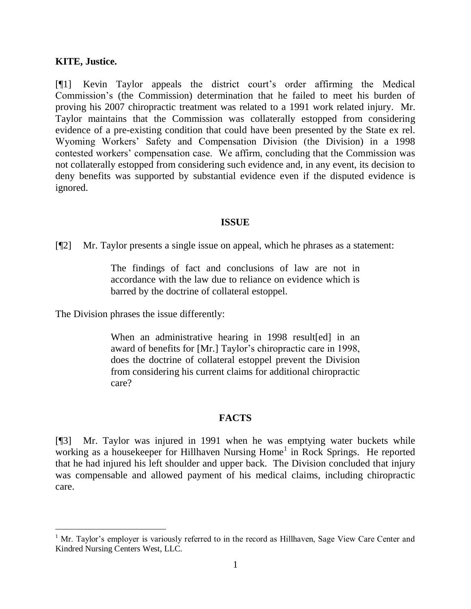### **KITE, Justice.**

 $\overline{a}$ 

[¶1] Kevin Taylor appeals the district court's order affirming the Medical Commission's (the Commission) determination that he failed to meet his burden of proving his 2007 chiropractic treatment was related to a 1991 work related injury. Mr. Taylor maintains that the Commission was collaterally estopped from considering evidence of a pre-existing condition that could have been presented by the State ex rel. Wyoming Workers' Safety and Compensation Division (the Division) in a 1998 contested workers' compensation case. We affirm, concluding that the Commission was not collaterally estopped from considering such evidence and, in any event, its decision to deny benefits was supported by substantial evidence even if the disputed evidence is ignored.

#### **ISSUE**

[¶2] Mr. Taylor presents a single issue on appeal, which he phrases as a statement:

The findings of fact and conclusions of law are not in accordance with the law due to reliance on evidence which is barred by the doctrine of collateral estoppel.

The Division phrases the issue differently:

When an administrative hearing in 1998 result [ed] in an award of benefits for [Mr.] Taylor's chiropractic care in 1998, does the doctrine of collateral estoppel prevent the Division from considering his current claims for additional chiropractic care?

# **FACTS**

[¶3] Mr. Taylor was injured in 1991 when he was emptying water buckets while working as a housekeeper for Hillhaven Nursing Home<sup>1</sup> in Rock Springs. He reported that he had injured his left shoulder and upper back. The Division concluded that injury was compensable and allowed payment of his medical claims, including chiropractic care.

 $1$  Mr. Taylor's employer is variously referred to in the record as Hillhaven, Sage View Care Center and Kindred Nursing Centers West, LLC.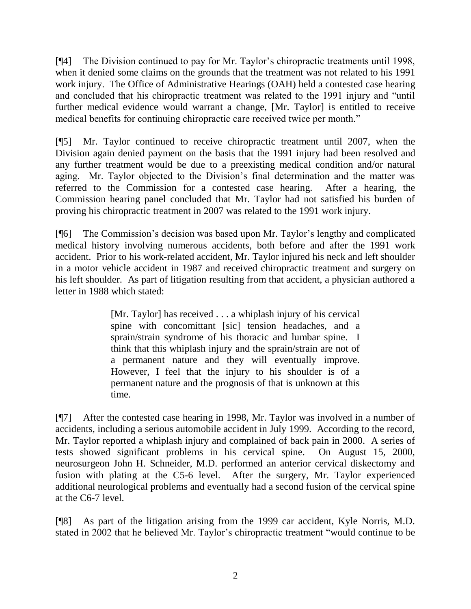[¶4] The Division continued to pay for Mr. Taylor's chiropractic treatments until 1998, when it denied some claims on the grounds that the treatment was not related to his 1991 work injury. The Office of Administrative Hearings (OAH) held a contested case hearing and concluded that his chiropractic treatment was related to the 1991 injury and "until further medical evidence would warrant a change, [Mr. Taylor] is entitled to receive medical benefits for continuing chiropractic care received twice per month."

[¶5] Mr. Taylor continued to receive chiropractic treatment until 2007, when the Division again denied payment on the basis that the 1991 injury had been resolved and any further treatment would be due to a preexisting medical condition and/or natural aging. Mr. Taylor objected to the Division's final determination and the matter was referred to the Commission for a contested case hearing. After a hearing, the Commission hearing panel concluded that Mr. Taylor had not satisfied his burden of proving his chiropractic treatment in 2007 was related to the 1991 work injury.

[¶6] The Commission's decision was based upon Mr. Taylor's lengthy and complicated medical history involving numerous accidents, both before and after the 1991 work accident. Prior to his work-related accident, Mr. Taylor injured his neck and left shoulder in a motor vehicle accident in 1987 and received chiropractic treatment and surgery on his left shoulder. As part of litigation resulting from that accident, a physician authored a letter in 1988 which stated:

> [Mr. Taylor] has received . . . a whiplash injury of his cervical spine with concomittant [sic] tension headaches, and a sprain/strain syndrome of his thoracic and lumbar spine. I think that this whiplash injury and the sprain/strain are not of a permanent nature and they will eventually improve. However, I feel that the injury to his shoulder is of a permanent nature and the prognosis of that is unknown at this time.

[¶7] After the contested case hearing in 1998, Mr. Taylor was involved in a number of accidents, including a serious automobile accident in July 1999. According to the record, Mr. Taylor reported a whiplash injury and complained of back pain in 2000. A series of tests showed significant problems in his cervical spine. On August 15, 2000, neurosurgeon John H. Schneider, M.D. performed an anterior cervical diskectomy and fusion with plating at the C5-6 level. After the surgery, Mr. Taylor experienced additional neurological problems and eventually had a second fusion of the cervical spine at the C6-7 level.

[¶8] As part of the litigation arising from the 1999 car accident, Kyle Norris, M.D. stated in 2002 that he believed Mr. Taylor's chiropractic treatment "would continue to be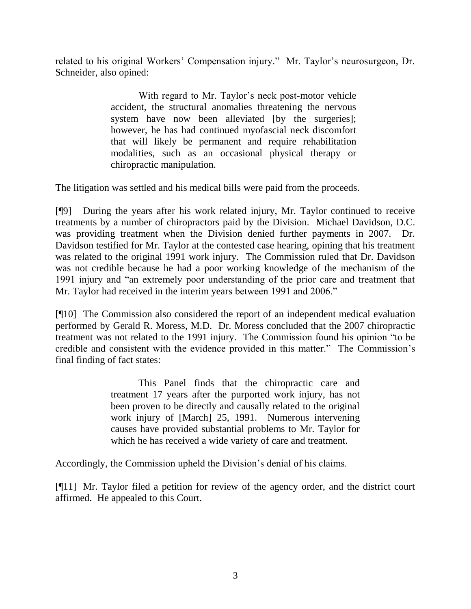related to his original Workers' Compensation injury." Mr. Taylor's neurosurgeon, Dr. Schneider, also opined:

> With regard to Mr. Taylor's neck post-motor vehicle accident, the structural anomalies threatening the nervous system have now been alleviated [by the surgeries]; however, he has had continued myofascial neck discomfort that will likely be permanent and require rehabilitation modalities, such as an occasional physical therapy or chiropractic manipulation.

The litigation was settled and his medical bills were paid from the proceeds.

[¶9] During the years after his work related injury, Mr. Taylor continued to receive treatments by a number of chiropractors paid by the Division. Michael Davidson, D.C. was providing treatment when the Division denied further payments in 2007. Dr. Davidson testified for Mr. Taylor at the contested case hearing, opining that his treatment was related to the original 1991 work injury. The Commission ruled that Dr. Davidson was not credible because he had a poor working knowledge of the mechanism of the 1991 injury and "an extremely poor understanding of the prior care and treatment that Mr. Taylor had received in the interim years between 1991 and 2006."

[¶10] The Commission also considered the report of an independent medical evaluation performed by Gerald R. Moress, M.D. Dr. Moress concluded that the 2007 chiropractic treatment was not related to the 1991 injury. The Commission found his opinion "to be credible and consistent with the evidence provided in this matter." The Commission's final finding of fact states:

> This Panel finds that the chiropractic care and treatment 17 years after the purported work injury, has not been proven to be directly and causally related to the original work injury of [March] 25, 1991. Numerous intervening causes have provided substantial problems to Mr. Taylor for which he has received a wide variety of care and treatment.

Accordingly, the Commission upheld the Division's denial of his claims.

[¶11] Mr. Taylor filed a petition for review of the agency order, and the district court affirmed. He appealed to this Court.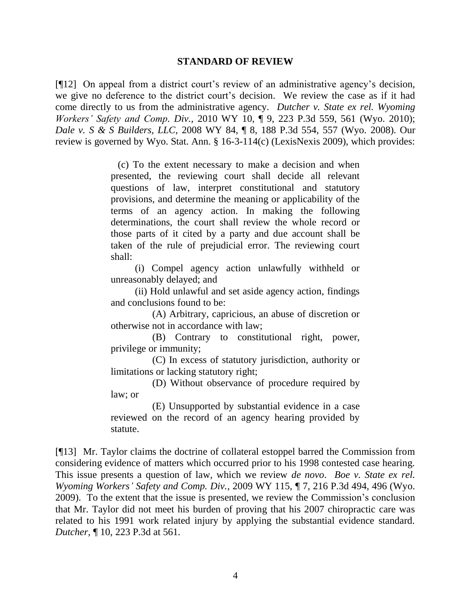#### **STANDARD OF REVIEW**

[¶12] On appeal from a district court's review of an administrative agency's decision, we give no deference to the district court's decision. We review the case as if it had come directly to us from the administrative agency. *Dutcher v. State ex rel. Wyoming Workers' Safety and Comp. Div.,* 2010 WY 10, ¶ 9, 223 P.3d 559, 561 (Wyo. 2010); *[Dale v. S & S Builders, LLC,](http://www.westlaw.com/Find/Default.wl?rs=dfa1.0&vr=2.0&DB=4645&FindType=Y&ReferencePositionType=S&SerialNum=2016551348&ReferencePosition=557)* [2008 WY 84, ¶ 8, 188 P.3d 554, 557 \(Wyo.](http://www.westlaw.com/Find/Default.wl?rs=dfa1.0&vr=2.0&DB=4645&FindType=Y&ReferencePositionType=S&SerialNum=2016551348&ReferencePosition=557) 2008). Our review is governed by [Wyo. Stat. Ann. § 16-3-114\(](http://www.westlaw.com/Find/Default.wl?rs=dfa1.0&vr=2.0&DB=1000377&DocName=WYSTS16-3-114&FindType=L)c) (LexisNexis 2009), which provides:

> (c) To the extent necessary to make a decision and when presented, the reviewing court shall decide all relevant questions of law, interpret constitutional and statutory provisions, and determine the meaning or applicability of the terms of an agency action. In making the following determinations, the court shall review the whole record or those parts of it cited by a party and due account shall be taken of the rule of prejudicial error. The reviewing court shall:

> (i) Compel agency action unlawfully withheld or unreasonably delayed; and

> (ii) Hold unlawful and set aside agency action, findings and conclusions found to be:

> (A) Arbitrary, capricious, an abuse of discretion or otherwise not in accordance with law;

> (B) Contrary to constitutional right, power, privilege or immunity;

> (C) In excess of statutory jurisdiction, authority or limitations or lacking statutory right;

> (D) Without observance of procedure required by law; or

> (E) Unsupported by substantial evidence in a case reviewed on the record of an agency hearing provided by statute.

[¶13] Mr. Taylor claims the doctrine of collateral estoppel barred the Commission from considering evidence of matters which occurred prior to his 1998 contested case hearing. This issue presents a question of law, which we review *de novo*. *Boe v. State ex rel. Wyoming Workers' Safety and Comp. Div.,* 2009 WY 115, ¶ 7, 216 P.3d 494, 496 (Wyo. 2009). To the extent that the issue is presented, we review the Commission's conclusion that Mr. Taylor did not meet his burden of proving that his 2007 chiropractic care was related to his 1991 work related injury by applying the substantial evidence standard. *Dutcher,* ¶ 10, 223 P.3d at 561.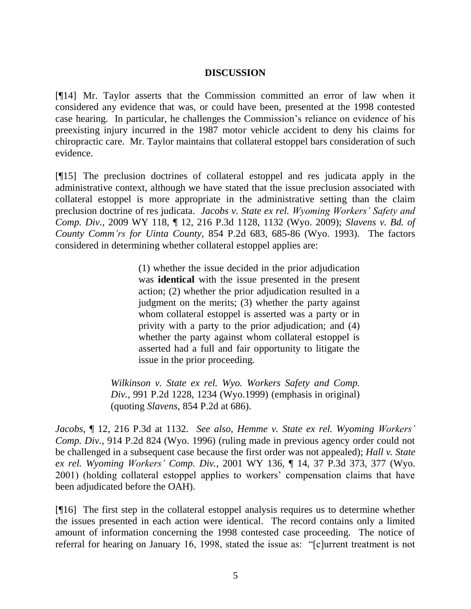# **DISCUSSION**

[¶14] Mr. Taylor asserts that the Commission committed an error of law when it considered any evidence that was, or could have been, presented at the 1998 contested case hearing. In particular, he challenges the Commission's reliance on evidence of his preexisting injury incurred in the 1987 motor vehicle accident to deny his claims for chiropractic care. Mr. Taylor maintains that collateral estoppel bars consideration of such evidence.

[¶15] The preclusion doctrines of collateral estoppel and res judicata apply in the administrative context, although we have stated that the issue preclusion associated with collateral estoppel is more appropriate in the administrative setting than the claim preclusion doctrine of res judicata. *Jacobs v. State ex rel. Wyoming Workers' Safety and Comp. Div.,* 2009 WY 118, ¶ 12, 216 P.3d 1128, 1132 (Wyo. 2009); *Slavens v. Bd. of County Comm'rs for Uinta County,* 854 P.2d 683, 685-86 (Wyo. 1993). The factors considered in determining whether collateral estoppel applies are:

> (1) whether the issue decided in the prior adjudication was **identical** with the issue presented in the present action; (2) whether the prior adjudication resulted in a judgment on the merits; (3) whether the party against whom collateral estoppel is asserted was a party or in privity with a party to the prior adjudication; and (4) whether the party against whom collateral estoppel is asserted had a full and fair opportunity to litigate the issue in the prior proceeding.

*[Wilkinson v. State ex rel. Wyo. Workers Safety and Comp.](http://www.westlaw.com/Find/Default.wl?rs=dfa1.0&vr=2.0&DB=661&FindType=Y&ReferencePositionType=S&SerialNum=1999267595&ReferencePosition=1234)  [Div.,](http://www.westlaw.com/Find/Default.wl?rs=dfa1.0&vr=2.0&DB=661&FindType=Y&ReferencePositionType=S&SerialNum=1999267595&ReferencePosition=1234)* [991 P.2d 1228, 1234 \(Wyo.1999\)](http://www.westlaw.com/Find/Default.wl?rs=dfa1.0&vr=2.0&DB=661&FindType=Y&ReferencePositionType=S&SerialNum=1999267595&ReferencePosition=1234) (emphasis in original) (quoting *[Slavens,](http://www.westlaw.com/Find/Default.wl?rs=dfa1.0&vr=2.0&DB=661&FindType=Y&ReferencePositionType=S&SerialNum=1993119256&ReferencePosition=686)* 854 [P.2d at 686\).](http://www.westlaw.com/Find/Default.wl?rs=dfa1.0&vr=2.0&DB=661&FindType=Y&ReferencePositionType=S&SerialNum=1993119256&ReferencePosition=686)

*Jacobs,* ¶ 12, 216 P.3d at 1132. *See also*, *Hemme v. State ex rel. Wyoming Workers' Comp. Div.,* 914 P.2d 824 (Wyo. 1996) (ruling made in previous agency order could not be challenged in a subsequent case because the first order was not appealed); *Hall v. State ex rel. Wyoming Workers' Comp. Div.,* 2001 WY 136, ¶ 14, 37 P.3d 373, 377 (Wyo. 2001) (holding collateral estoppel applies to workers' compensation claims that have been adjudicated before the OAH).

[¶16] The first step in the collateral estoppel analysis requires us to determine whether the issues presented in each action were identical. The record contains only a limited amount of information concerning the 1998 contested case proceeding. The notice of referral for hearing on January 16, 1998, stated the issue as: "[c]urrent treatment is not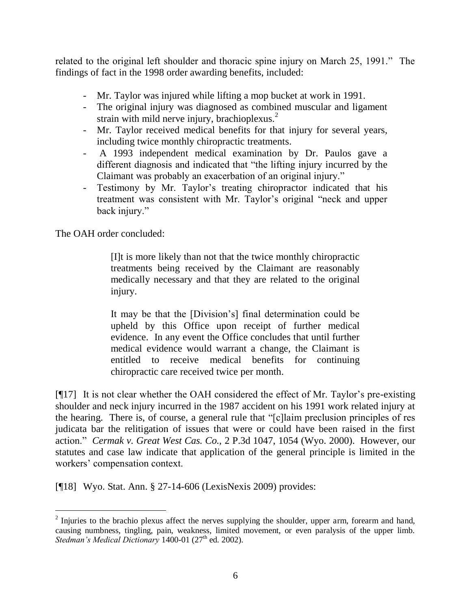related to the original left shoulder and thoracic spine injury on March 25, 1991." The findings of fact in the 1998 order awarding benefits, included:

- Mr. Taylor was injured while lifting a mop bucket at work in 1991.
- The original injury was diagnosed as combined muscular and ligament strain with mild nerve injury, brachioplexus.<sup>2</sup>
- Mr. Taylor received medical benefits for that injury for several years, including twice monthly chiropractic treatments.
- A 1993 independent medical examination by Dr. Paulos gave a different diagnosis and indicated that "the lifting injury incurred by the Claimant was probably an exacerbation of an original injury."
- Testimony by Mr. Taylor's treating chiropractor indicated that his treatment was consistent with Mr. Taylor's original "neck and upper back injury."

The OAH order concluded:

[I]t is more likely than not that the twice monthly chiropractic treatments being received by the Claimant are reasonably medically necessary and that they are related to the original injury.

It may be that the [Division's] final determination could be upheld by this Office upon receipt of further medical evidence. In any event the Office concludes that until further medical evidence would warrant a change, the Claimant is entitled to receive medical benefits for continuing chiropractic care received twice per month.

[¶17] It is not clear whether the OAH considered the effect of Mr. Taylor's pre-existing shoulder and neck injury incurred in the 1987 accident on his 1991 work related injury at the hearing. There is, of course, a general rule that "[c]laim preclusion principles of res judicata bar the relitigation of issues that were or could have been raised in the first action." *Cermak v. Great West Cas. Co.,* 2 P.3d 1047, 1054 (Wyo. 2000). However, our statutes and case law indicate that application of the general principle is limited in the workers' compensation context.

[¶18] Wyo. Stat. Ann. § 27-14-606 (LexisNexis 2009) provides:

 $\overline{a}$  $2$  Injuries to the brachio plexus affect the nerves supplying the shoulder, upper arm, forearm and hand, causing numbness, tingling, pain, weakness, limited movement, or even paralysis of the upper limb. Stedman's Medical Dictionary 1400-01 (27<sup>th</sup> ed. 2002).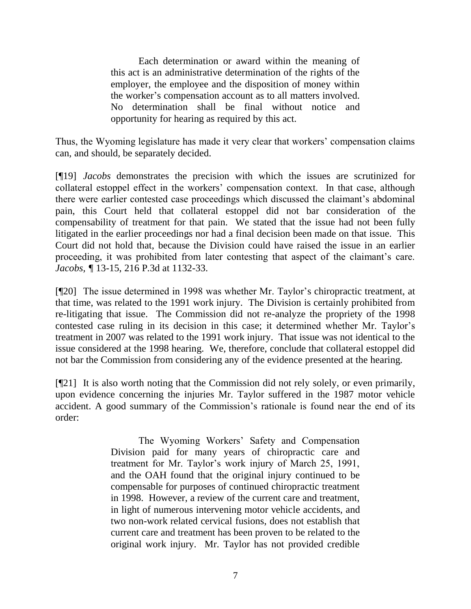Each determination or award within the meaning of this act is an administrative determination of the rights of the employer, the employee and the disposition of money within the worker's compensation account as to all matters involved. No determination shall be final without notice and opportunity for hearing as required by this act.

Thus, the Wyoming legislature has made it very clear that workers' compensation claims can, and should, be separately decided.

[¶19] *Jacobs* demonstrates the precision with which the issues are scrutinized for collateral estoppel effect in the workers' compensation context. In that case, although there were earlier contested case proceedings which discussed the claimant's abdominal pain, this Court held that collateral estoppel did not bar consideration of the compensability of treatment for that pain. We stated that the issue had not been fully litigated in the earlier proceedings nor had a final decision been made on that issue. This Court did not hold that, because the Division could have raised the issue in an earlier proceeding, it was prohibited from later contesting that aspect of the claimant's care. *Jacobs, ¶* 13-15, 216 P.3d at 1132-33.

[¶20] The issue determined in 1998 was whether Mr. Taylor's chiropractic treatment, at that time, was related to the 1991 work injury. The Division is certainly prohibited from re-litigating that issue. The Commission did not re-analyze the propriety of the 1998 contested case ruling in its decision in this case; it determined whether Mr. Taylor's treatment in 2007 was related to the 1991 work injury. That issue was not identical to the issue considered at the 1998 hearing. We, therefore, conclude that collateral estoppel did not bar the Commission from considering any of the evidence presented at the hearing.

[¶21] It is also worth noting that the Commission did not rely solely, or even primarily, upon evidence concerning the injuries Mr. Taylor suffered in the 1987 motor vehicle accident. A good summary of the Commission's rationale is found near the end of its order:

> The Wyoming Workers' Safety and Compensation Division paid for many years of chiropractic care and treatment for Mr. Taylor's work injury of March 25, 1991, and the OAH found that the original injury continued to be compensable for purposes of continued chiropractic treatment in 1998. However, a review of the current care and treatment, in light of numerous intervening motor vehicle accidents, and two non-work related cervical fusions, does not establish that current care and treatment has been proven to be related to the original work injury. Mr. Taylor has not provided credible